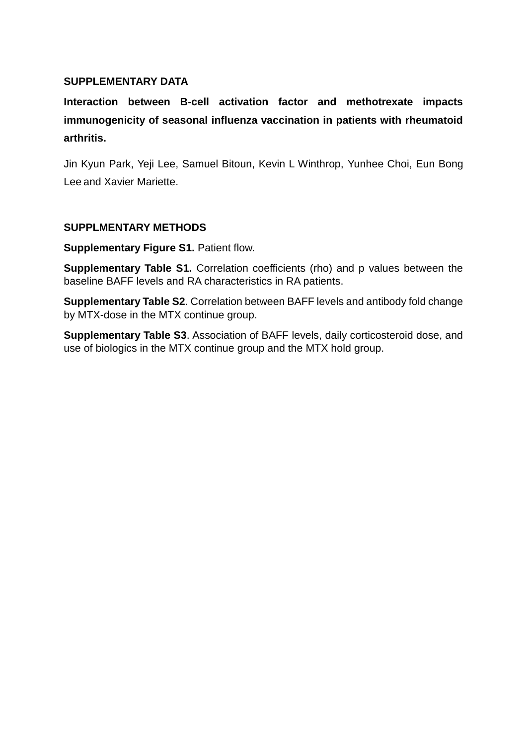## **SUPPLEMENTARY DATA**

**Interaction between B-cell activation factor and methotrexate impacts immunogenicity of seasonal influenza vaccination in patients with rheumatoid arthritis.** 

Jin Kyun Park, Yeji Lee, Samuel Bitoun, Kevin L Winthrop, Yunhee Choi, Eun Bong Lee and Xavier Mariette.

## **SUPPLMENTARY METHODS**

**Supplementary Figure S1. Patient flow.** 

**Supplementary Table S1.** Correlation coefficients (rho) and p values between the baseline BAFF levels and RA characteristics in RA patients.

**Supplementary Table S2**. Correlation between BAFF levels and antibody fold change by MTX-dose in the MTX continue group.

**Supplementary Table S3**. Association of BAFF levels, daily corticosteroid dose, and use of biologics in the MTX continue group and the MTX hold group.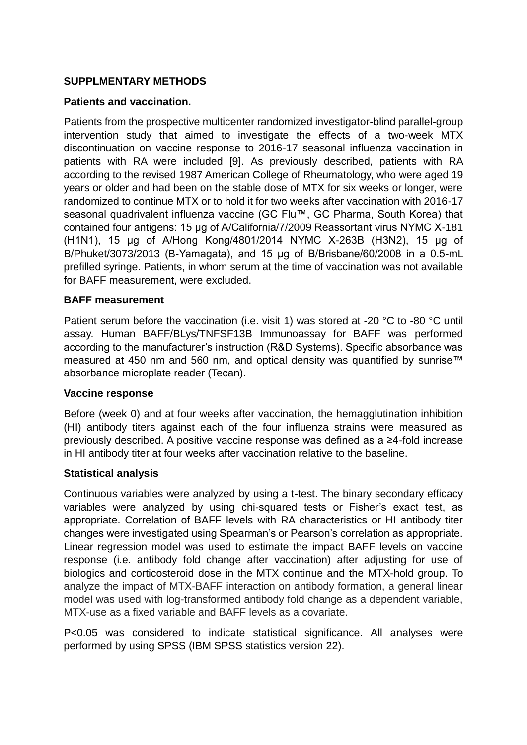# **SUPPLMENTARY METHODS**

## **Patients and vaccination.**

Patients from the prospective multicenter randomized investigator-blind parallel-group intervention study that aimed to investigate the effects of a two-week MTX discontinuation on vaccine response to 2016-17 seasonal influenza vaccination in patients with RA were included [9]. As previously described, patients with RA according to the revised 1987 American College of Rheumatology, who were aged 19 years or older and had been on the stable dose of MTX for six weeks or longer, were randomized to continue MTX or to hold it for two weeks after vaccination with 2016-17 seasonal quadrivalent influenza vaccine (GC Flu™, GC Pharma, South Korea) that contained four antigens: 15 μg of A/California/7/2009 Reassortant virus NYMC X-181 (H1N1), 15 μg of A/Hong Kong/4801/2014 NYMC X-263B (H3N2), 15 μg of B/Phuket/3073/2013 (B-Yamagata), and 15 μg of B/Brisbane/60/2008 in a 0.5-mL prefilled syringe. Patients, in whom serum at the time of vaccination was not available for BAFF measurement, were excluded.

#### **BAFF measurement**

Patient serum before the vaccination (i.e. visit 1) was stored at -20 °C to -80 °C until assay. Human BAFF/BLys/TNFSF13B Immunoassay for BAFF was performed according to the manufacturer's instruction (R&D Systems). Specific absorbance was measured at 450 nm and 560 nm, and optical density was quantified by sunrise™ absorbance microplate reader (Tecan).

### **Vaccine response**

Before (week 0) and at four weeks after vaccination, the hemagglutination inhibition (HI) antibody titers against each of the four influenza strains were measured as previously described. A positive vaccine response was defined as a ≥4-fold increase in HI antibody titer at four weeks after vaccination relative to the baseline.

### **Statistical analysis**

Continuous variables were analyzed by using a t-test. The binary secondary efficacy variables were analyzed by using chi-squared tests or Fisher's exact test, as appropriate. Correlation of BAFF levels with RA characteristics or HI antibody titer changes were investigated using Spearman's or Pearson's correlation as appropriate. Linear regression model was used to estimate the impact BAFF levels on vaccine response (i.e. antibody fold change after vaccination) after adjusting for use of biologics and corticosteroid dose in the MTX continue and the MTX-hold group. To analyze the impact of MTX-BAFF interaction on antibody formation, a general linear model was used with log-transformed antibody fold change as a dependent variable, MTX-use as a fixed variable and BAFF levels as a covariate.

P<0.05 was considered to indicate statistical significance. All analyses were performed by using SPSS (IBM SPSS statistics version 22).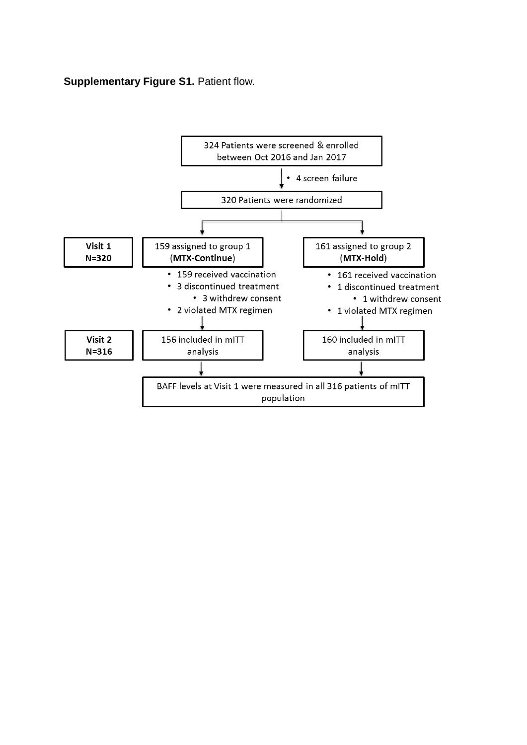# **Supplementary Figure S1. Patient flow.**

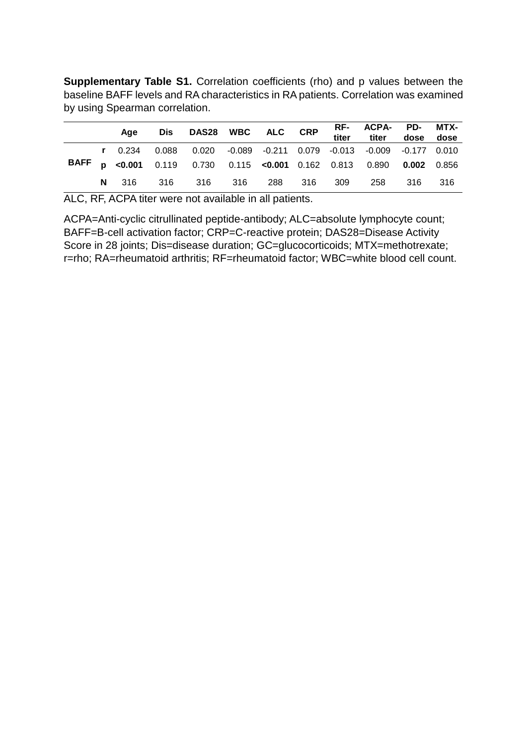**Supplementary Table S1.** Correlation coefficients (rho) and p values between the baseline BAFF levels and RA characteristics in RA patients. Correlation was examined by using Spearman correlation.

|  | Aae | Dis DAS28 WBC ALC CRP                                                       |  |  | RF- ACPA- PD- MTX-<br>titer titer dose dose |  |
|--|-----|-----------------------------------------------------------------------------|--|--|---------------------------------------------|--|
|  |     | r 0.234 0.088 0.020 -0.089 -0.211 0.079 -0.013 -0.009 -0.177 0.010          |  |  |                                             |  |
|  |     | <b>BAFF p</b> <0.001 0.119 0.730 0.115 <0.001 0.162 0.813 0.890 0.002 0.856 |  |  |                                             |  |
|  |     | <b>N</b> 316 316 316 316 288 316 309 258 316 316                            |  |  |                                             |  |

ALC, RF, ACPA titer were not available in all patients.

ACPA=Anti-cyclic citrullinated peptide-antibody; ALC=absolute lymphocyte count; BAFF=B-cell activation factor; CRP=C-reactive protein; DAS28=Disease Activity Score in 28 joints; Dis=disease duration; GC=glucocorticoids; MTX=methotrexate; r=rho; RA=rheumatoid arthritis; RF=rheumatoid factor; WBC=white blood cell count.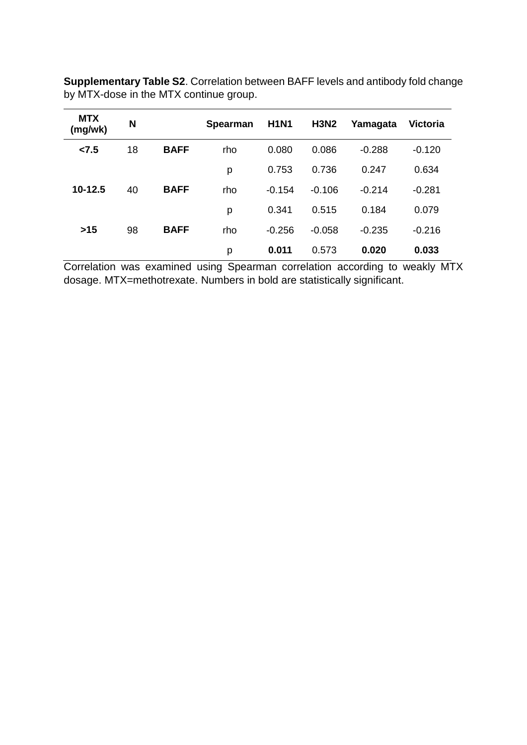**Supplementary Table S2**. Correlation between BAFF levels and antibody fold change by MTX-dose in the MTX continue group.

| <b>MTX</b><br>(mg/wk) | N  |             | <b>Spearman</b> | <b>H1N1</b> | <b>H3N2</b> | Yamagata | <b>Victoria</b> |
|-----------------------|----|-------------|-----------------|-------------|-------------|----------|-----------------|
| 27.5                  | 18 | <b>BAFF</b> | rho             | 0.080       | 0.086       | $-0.288$ | $-0.120$        |
|                       |    |             | p               | 0.753       | 0.736       | 0.247    | 0.634           |
| $10-12.5$             | 40 | <b>BAFF</b> | rho             | $-0.154$    | $-0.106$    | $-0.214$ | $-0.281$        |
|                       |    |             | p               | 0.341       | 0.515       | 0.184    | 0.079           |
| $>15$                 | 98 | <b>BAFF</b> | rho             | $-0.256$    | $-0.058$    | $-0.235$ | $-0.216$        |
|                       |    |             | p               | 0.011       | 0.573       | 0.020    | 0.033           |

Correlation was examined using Spearman correlation according to weakly MTX dosage. MTX=methotrexate. Numbers in bold are statistically significant.